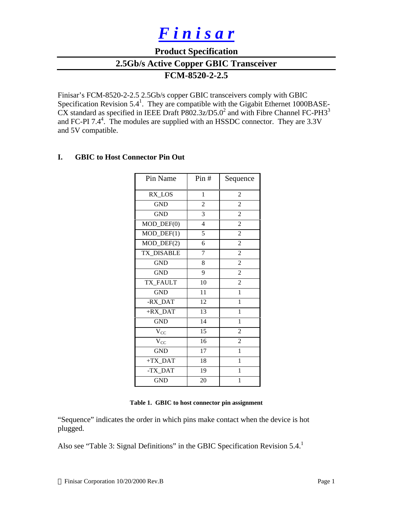# *F i n i s a r*

## **Product Specification**

**2.5Gb/s Active Copper GBIC Transceiver**

## **FCM-8520-2-2.5**

Finisar's FCM-8520-2-2.5 2.5Gb/s copper GBIC transceivers comply with GBIC Specification Revision  $5.4<sup>1</sup>$ . They are compatible with the Gigabit Ethernet 1000BASE- $\overline{\text{CX}}$  standard as specified in IEEE Draft P802.3z/D5.0<sup>2</sup> and with Fibre Channel FC-PH3<sup>3</sup> and FC-PI 7.4<sup>4</sup>. The modules are supplied with an HSSDC connector. They are  $3.3V$ and 5V compatible.

## **I. GBIC to Host Connector Pin Out**

| Pin Name                    | Pin#           | Sequence       |
|-----------------------------|----------------|----------------|
| RX_LOS                      | $\mathbf{1}$   | $\mathbf{2}$   |
| <b>GND</b>                  | $\overline{c}$ | $\overline{c}$ |
| <b>GND</b>                  | $\overline{3}$ | $\overline{2}$ |
| $MOD_$ DEF $(0)$            | $\overline{4}$ | $\overline{2}$ |
| $MOD_$ <del>DEF</del> $(1)$ | 5              | $\overline{2}$ |
| $\overline{MOD\_DEF(2)}$    | 6              | $\overline{c}$ |
| TX_DISABLE                  | 7              | $\overline{2}$ |
| <b>GND</b>                  | 8              | $\overline{2}$ |
| <b>GND</b>                  | 9              | $\overline{c}$ |
| <b>TX FAULT</b>             | 10             | $\overline{c}$ |
| <b>GND</b>                  | 11             | $\mathbf{1}$   |
| -RX_DAT                     | 12             | 1              |
| +RX_DAT                     | 13             | $\mathbf{1}$   |
| <b>GND</b>                  | 14             | 1              |
| $\rm V_{CC}$                | 15             | $\overline{c}$ |
| $V_{CC}$                    | 16             | $\overline{2}$ |
| <b>GND</b>                  | 17             | 1              |
| $+TX$ <sub>_</sub> DAT      | 18             | 1              |
| -TX_DAT                     | 19             | 1              |
| <b>GND</b>                  | 20             | $\mathbf{1}$   |

**Table 1. GBIC to host connector pin assignment**

"Sequence" indicates the order in which pins make contact when the device is hot plugged.

Also see "Table 3: Signal Definitions" in the GBIC Specification Revision 5.4.<sup>1</sup>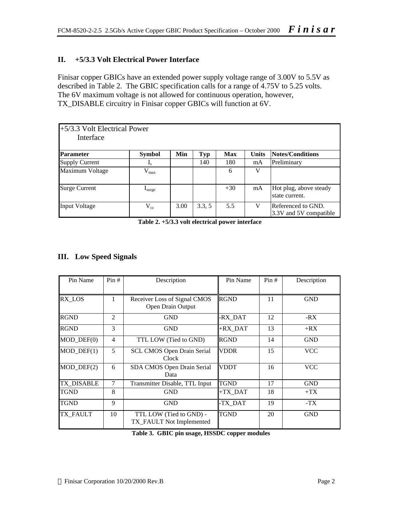## **II. +5/3.3 Volt Electrical Power Interface**

Finisar copper GBICs have an extended power supply voltage range of 3.00V to 5.5V as described in Table 2. The GBIC specification calls for a range of 4.75V to 5.25 volts. The 6V maximum voltage is not allowed for continuous operation, however, TX\_DISABLE circuitry in Finisar copper GBICs will function at 6V.

| +5/3.3 Volt Electrical Power<br>Interface |                             |      |            |       |              |                                              |
|-------------------------------------------|-----------------------------|------|------------|-------|--------------|----------------------------------------------|
| <b>Parameter</b>                          | <b>Symbol</b>               | Min  | <b>Typ</b> | Max   | <b>Units</b> | Notes/Conditions                             |
| <b>Supply Current</b>                     | $\mathbf{I}_{\rm s}$        |      | 140        | 180   | mA           | Preliminary                                  |
| Maximum Voltage                           | $\rm V_{max}$               |      |            | 6     |              |                                              |
| <b>Surge Current</b>                      | $\mathbf{1}_{\text{surge}}$ |      |            | $+30$ | mA           | Hot plug, above steady<br>state current.     |
| <b>Input Voltage</b>                      | $V_{cc}$                    | 3.00 | 3.3, 5     | 5.5   |              | Referenced to GND.<br>3.3V and 5V compatible |

**Table 2. +5/3.3 volt electrical power interface**

## **III. Low Speed Signals**

| Pin Name                    | Pin#           | Description                                         | Pin Name               | Pin# | Description |
|-----------------------------|----------------|-----------------------------------------------------|------------------------|------|-------------|
| RX LOS                      | 1              | Receiver Loss of Signal CMOS<br>Open Drain Output   | <b>RGND</b>            | 11   | <b>GND</b>  |
| <b>RGND</b>                 | $\overline{2}$ | GND                                                 | -RX DAT                | 12   | -RX         |
| <b>RGND</b>                 | 3              | <b>GND</b>                                          | +RX DAT                | 13   | $+RX$       |
| $MOD_$ DEF $(0)$            | 4              | TTL LOW (Tied to GND)                               | <b>RGND</b>            | 14   | <b>GND</b>  |
| $MOD_$ <del>DEF</del> $(1)$ | 5              | <b>SCL CMOS Open Drain Serial</b><br>Clock          | <b>VDDR</b>            | 15   | VCC         |
| $MOD_$ DEF $(2)$            | 6              | SDA CMOS Open Drain Serial<br>Data                  | <b>VDDT</b>            | 16   | <b>VCC</b>  |
| <b>TX_DISABLE</b>           | 7              | Transmitter Disable, TTL Input                      | <b>TGND</b>            | 17   | <b>GND</b>  |
| <b>TGND</b>                 | 8              | <b>GND</b>                                          | $+TX$ <sub>_</sub> DAT | 18   | $+TX$       |
| <b>TGND</b>                 | 9              | GND                                                 | -TX DAT                | 19   | -TX         |
| TX FAULT                    | 10             | TTL LOW (Tied to GND) -<br>TX_FAULT Not Implemented | <b>TGND</b>            | 20   | <b>GND</b>  |

**Table 3. GBIC pin usage, HSSDC copper modules**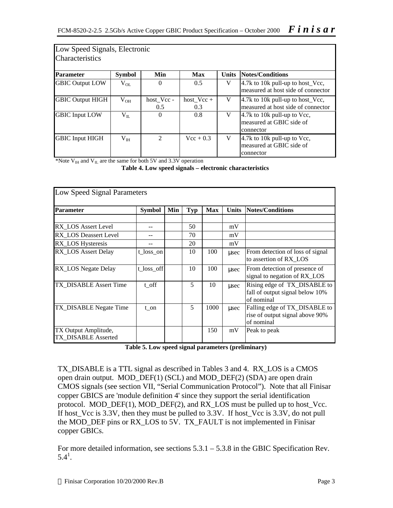| Low Speed Signals, Electronic<br><b>Characteristics</b> |               |                   |                     |              |                                                                            |  |  |  |  |  |  |
|---------------------------------------------------------|---------------|-------------------|---------------------|--------------|----------------------------------------------------------------------------|--|--|--|--|--|--|
| <b>Parameter</b>                                        | <b>Symbol</b> | Min               | Max                 | <b>Units</b> | Notes/Conditions                                                           |  |  |  |  |  |  |
| <b>GBIC Output LOW</b>                                  | $V_{OL}$      | $\Omega$          | 0.5                 | V            | 4.7k to 10k pull-up to host_Vcc,<br>measured at host side of connector     |  |  |  |  |  |  |
| <b>GBIC Output HIGH</b>                                 | $V_{OH}$      | host Vcc -<br>0.5 | $host_Vcc +$<br>0.3 | V            | 4.7k to 10k pull-up to host_Vcc,<br>measured at host side of connector     |  |  |  |  |  |  |
| <b>GBIC</b> Input LOW                                   | $V_{II.}$     | $\overline{0}$    | 0.8                 | V            | 4.7 $k$ to 10 $k$ pull-up to Vcc,<br>measured at GBIC side of<br>connector |  |  |  |  |  |  |
| <b>GBIC Input HIGH</b>                                  | $V_{IH}$      | 2                 | $Vec + 0.3$         | V            | 4.7 $k$ to 10 $k$ pull-up to Vcc,<br>measured at GBIC side of<br>connector |  |  |  |  |  |  |

\*Note  $V_{\text{IH}}$  and  $V_{\text{IL}}$  are the same for both 5V and 3.3V operation

**Table 4. Low speed signals – electronic characteristics**

| Low Speed Signal Parameters                 |               |     |            |            |              |                                                                                |  |  |  |  |
|---------------------------------------------|---------------|-----|------------|------------|--------------|--------------------------------------------------------------------------------|--|--|--|--|
| <b>Parameter</b>                            | <b>Symbol</b> | Min | <b>Typ</b> | <b>Max</b> | <b>Units</b> | Notes/Conditions                                                               |  |  |  |  |
|                                             |               |     |            |            |              |                                                                                |  |  |  |  |
| RX LOS Assert Level                         |               |     | 50         |            | mV           |                                                                                |  |  |  |  |
| RX LOS Deassert Level                       |               |     | 70         |            | mV           |                                                                                |  |  |  |  |
| RX_LOS Hysteresis                           |               |     | 20         |            | mV           |                                                                                |  |  |  |  |
| RX LOS Assert Delay                         | t_loss_on     |     | 10         | 100        | usec         | From detection of loss of signal<br>to assertion of RX LOS                     |  |  |  |  |
| <b>RX_LOS</b> Negate Delay                  | t_loss_off    |     | 10         | 100        | usec         | From detection of presence of<br>signal to negation of RX_LOS                  |  |  |  |  |
| TX_DISABLE Assert Time                      | t off         |     | 5          | 10         | usec         | Rising edge of TX_DISABLE to<br>fall of output signal below 10%<br>of nominal  |  |  |  |  |
| TX_DISABLE Negate Time                      | t on          |     | 5          | 1000       | usec         | Falling edge of TX_DISABLE to<br>rise of output signal above 90%<br>of nominal |  |  |  |  |
| TX Output Amplitude,<br>TX DISABLE Asserted |               |     |            | 150        | mV           | Peak to peak                                                                   |  |  |  |  |

**Table 5. Low speed signal parameters (preliminary)**

TX\_DISABLE is a TTL signal as described in Tables 3 and 4. RX\_LOS is a CMOS open drain output. MOD\_DEF(1) (SCL) and MOD\_DEF(2) (SDA) are open drain CMOS signals (see section VII, "Serial Communication Protocol"). Note that all Finisar copper GBICS are 'module definition 4' since they support the serial identification protocol. MOD\_DEF(1), MOD\_DEF(2), and RX\_LOS must be pulled up to host\_Vcc. If host\_Vcc is 3.3V, then they must be pulled to 3.3V. If host\_Vcc is 3.3V, do not pull the MOD\_DEF pins or RX\_LOS to 5V. TX\_FAULT is not implemented in Finisar copper GBICs.

For more detailed information, see sections 5.3.1 – 5.3.8 in the GBIC Specification Rev.  $5.4^1$ .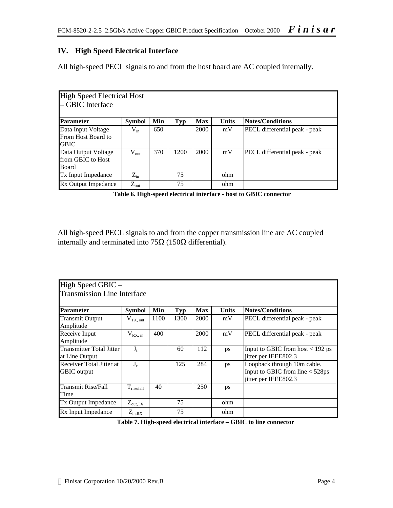## **IV. High Speed Electrical Interface**

All high-speed PECL signals to and from the host board are AC coupled internally.

| High Speed Electrical Host<br>- GBIC Interface          |                  |     |      |            |              |                               |
|---------------------------------------------------------|------------------|-----|------|------------|--------------|-------------------------------|
| Parameter                                               | <b>Symbol</b>    | Min | Typ  | <b>Max</b> | <b>Units</b> | <b>Notes/Conditions</b>       |
| Data Input Voltage<br>From Host Board to<br><b>GBIC</b> | $V_{in}$         | 650 |      | 2000       | mV           | PECL differential peak - peak |
| Data Output Voltage<br>from GBIC to Host<br>Board       | $V_{out}$        | 370 | 1200 | 2000       | mV           | PECL differential peak - peak |
| Tx Input Impedance                                      | $Z_{\rm in}$     |     | 75   |            | ohm          |                               |
| Rx Output Impedance                                     | $Z_{\text{out}}$ |     | 75   |            | ohm          |                               |

**Table 6. High-speed electrical interface - host to GBIC connector**

All high-speed PECL signals to and from the copper transmission line are AC coupled internally and terminated into 75Ω (150Ω differential).

| High Speed GBIC -                  |                     |      |            |            |              |                                    |  |  |  |  |  |
|------------------------------------|---------------------|------|------------|------------|--------------|------------------------------------|--|--|--|--|--|
| <b>Transmission Line Interface</b> |                     |      |            |            |              |                                    |  |  |  |  |  |
|                                    |                     |      |            |            |              |                                    |  |  |  |  |  |
| <b>Parameter</b>                   | <b>Symbol</b>       | Min  | <b>Typ</b> | <b>Max</b> | <b>Units</b> | Notes/Conditions                   |  |  |  |  |  |
| <b>Transmit Output</b>             | $V_{TX, out}$       | 1100 | 1300       | 2000       | mV           | PECL differential peak - peak      |  |  |  |  |  |
| Amplitude                          |                     |      |            |            |              |                                    |  |  |  |  |  |
| Receive Input                      | $V_{RX, in}$        | 400  |            | 2000       | mV           | PECL differential peak - peak      |  |  |  |  |  |
| Amplitude                          |                     |      |            |            |              |                                    |  |  |  |  |  |
| <b>Transmitter Total Jitter</b>    | $J_t$               |      | 60         | 112        | ps           | Input to GBIC from host $<$ 192 ps |  |  |  |  |  |
| at Line Output                     |                     |      |            |            |              | jitter per IEEE802.3               |  |  |  |  |  |
| Receiver Total Jitter at           | $J_r$               |      | 125        | 284        | ps           | Loopback through 10m cable.        |  |  |  |  |  |
| <b>GBIC</b> output                 |                     |      |            |            |              | Input to GBIC from line < 528ps    |  |  |  |  |  |
|                                    |                     |      |            |            |              | jitter per IEEE802.3               |  |  |  |  |  |
| <b>Transmit Rise/Fall</b>          | $T_{rise/fall}$     | 40   |            | 250        | ps           |                                    |  |  |  |  |  |
| Time                               |                     |      |            |            |              |                                    |  |  |  |  |  |
| <b>Tx Output Impedance</b>         | $Z_{\text{out,TX}}$ |      | 75         |            | ohm          |                                    |  |  |  |  |  |
| Rx Input Impedance                 | $Z_{in, RX}$        |      | 75         |            | ohm          |                                    |  |  |  |  |  |

**Table 7. High-speed electrical interface – GBIC to line connector**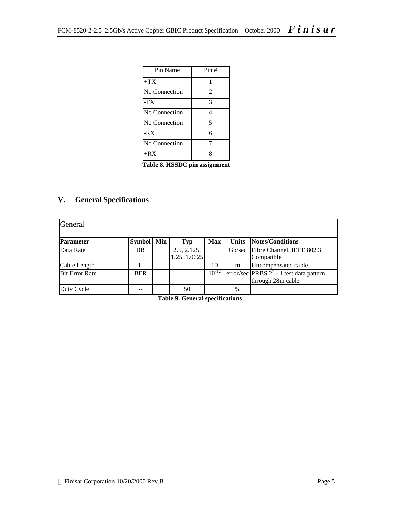| Pin Name      | Pin# |
|---------------|------|
| $+TX$         |      |
| No Connection | 2    |
| $-TX$         | 3    |
| No Connection | 4    |
| No Connection | 5    |
| $-RX$         | 6    |
| No Connection |      |
| $+RX$         | Ջ    |

**Table 8. HSSDC pin assignment**

## **V. General Specifications**

| General               |            |                             |            |       |                                                                 |
|-----------------------|------------|-----------------------------|------------|-------|-----------------------------------------------------------------|
| Parameter             | Symbol Min | <b>Typ</b>                  | <b>Max</b> | Units | Notes/Conditions                                                |
| Data Rate             | <b>BR</b>  | 2.5, 2.125,<br>1.25, 1.0625 |            |       | Gb/sec Fibre Channel, IEEE 802.3<br>Compatible                  |
| Cable Length          |            |                             | 10         | m     | Uncompensated cable                                             |
| <b>Bit Error Rate</b> | <b>BER</b> |                             | $10^{-12}$ |       | error/sec PRBS $2^7$ - 1 test data pattern<br>through 28m cable |
| Duty Cycle            |            | 50                          |            | $\%$  |                                                                 |

**Table 9. General specifications**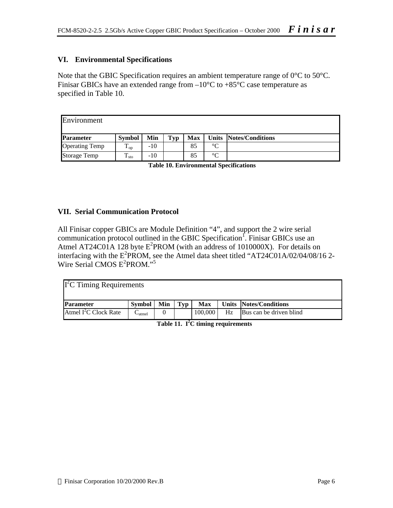## **VI. Environmental Specifications**

Note that the GBIC Specification requires an ambient temperature range of 0<sup>o</sup>C to 50<sup>o</sup>C. Finisar GBICs have an extended range from  $-10^{\circ}$ C to  $+85^{\circ}$ C case temperature as specified in Table 10.

| Environment           |                          |     |     |            |                 |                        |
|-----------------------|--------------------------|-----|-----|------------|-----------------|------------------------|
| <b>Parameter</b>      | <b>Symbol</b>            | Min | Typ | <b>Max</b> |                 | Units Notes/Conditions |
| <b>Operating Temp</b> | $\mathbf{1}_{\text{op}}$ | -10 |     | 85         | $\rm ^{\circ}C$ |                        |
| <b>Storage Temp</b>   | ᠇᠇<br>$\frac{1}{1}$ sto  | -10 |     | 85         | $\circ$         |                        |

**Table 10. Environmental Specifications**

#### **VII. Serial Communication Protocol**

All Finisar copper GBICs are Module Definition "4", and support the 2 wire serial communication protocol outlined in the GBIC Specification<sup>1</sup>. Finisar GBICs use an Atmel AT24C01A 128 byte  $E^2$ PROM (with an address of 1010000X). For details on interfacing with the  $E^2$ PROM, see the Atmel data sheet titled "AT24C01A/02/04/08/16 2-Wire Serial CMOS E<sup>2</sup>PROM."<sup>5</sup>

| $I2C$ Timing Requirements |                                 |     |     |            |    |                         |
|---------------------------|---------------------------------|-----|-----|------------|----|-------------------------|
| <b>Parameter</b>          | <b>Symbol</b>                   | Min | Tvp | <b>Max</b> |    | Units Notes/Conditions  |
| Atmel $I^2C$ Clock Rate   | $\mathrel{\cup}_{\text{atmel}}$ |     |     | 100,000    | Hz | Bus can be driven blind |

**Table 11. I<sup>2</sup>C timing requirements**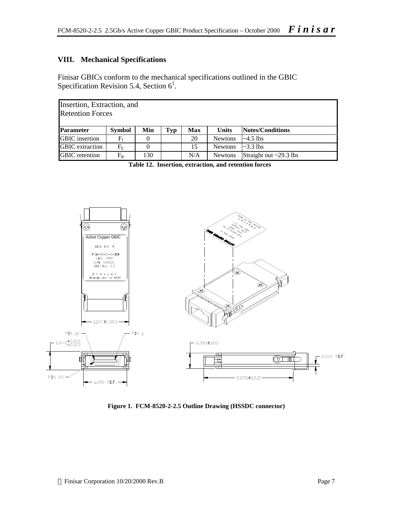## **VIII. Mechanical Specifications**

Finisar GBICs conform to the mechanical specifications outlined in the GBIC Specification Revision 5.4, Section  $6<sup>1</sup>$ .

|                        | Insertion, Extraction, and<br><b>Retention Forces</b>                                |     |  |     |                |                              |  |  |  |  |  |  |
|------------------------|--------------------------------------------------------------------------------------|-----|--|-----|----------------|------------------------------|--|--|--|--|--|--|
| <b>Parameter</b>       | <b>Notes/Conditions</b><br><b>Symbol</b><br>Min<br><b>Units</b><br><b>Max</b><br>Typ |     |  |     |                |                              |  |  |  |  |  |  |
| <b>GBIC</b> insertion  | $F_{\scriptscriptstyle\rm I}$                                                        |     |  | 20  | <b>Newtons</b> | $\sim 4.5$ lbs               |  |  |  |  |  |  |
| <b>GBIC</b> extraction | $F_{\rm E}$                                                                          |     |  | 15  | <b>Newtons</b> | $\approx 3.3$ lbs            |  |  |  |  |  |  |
| <b>GBIC</b> retention  | $F_R$                                                                                | 130 |  | N/A | <b>Newtons</b> | Straight out $\sim$ 29.3 lbs |  |  |  |  |  |  |

**Table 12. Insertion, extraction, and retention forces**



**Figure 1. FCM-8520-2-2.5 Outline Drawing (HSSDC connector)**